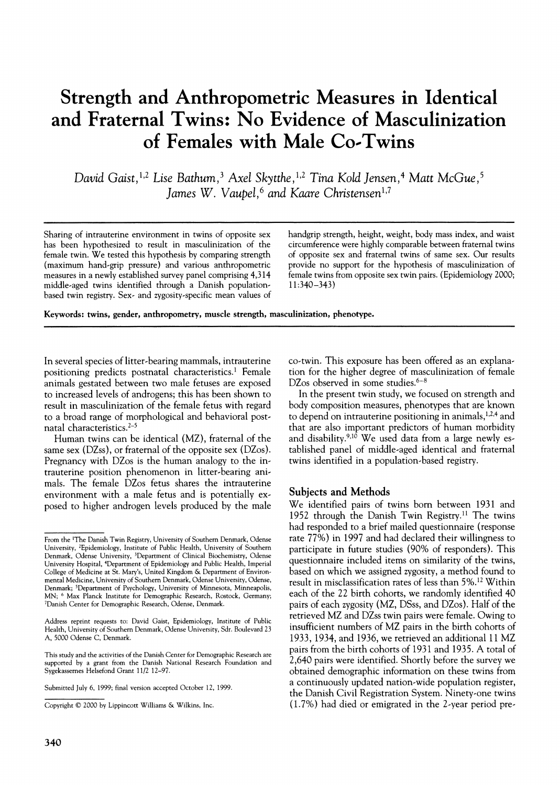# **Strength and Anthropometric Measures in Identical and Fraternal Twins: No Evidence of Masculinization of Females with Male Co-Twins**

**David Gaist,1,2 Lise Bathum,3 Axel Skytthe,1'2 Tina Kold Jensen,4 Matt McGue,5**  Iames W. Vaupel.<sup>6</sup> and Kaare Christensen<sup>1,7</sup>

Sharing of intrauterine environment in twins of opposite sex handgrip strength, height, weight, body mass index, and waist **has been** hypothesized to result in masculinization of the circumference were highly comparable be **has been hypothesized to result in masculinization of the circumference were highly comparable between fraternal twins**  female twin. We tested this hypothesis by comparing strength (maximum hand-grip pressure) and various anthropometric (maximum hand-grip pressure) and various anthropometric provide no support for the hypothesis of masculinization of measures in a newly established survey panel comprising 4,314 female twins from opposite sex twin pairs. ( middle-aged twins identified through a Danish population**based twin registry. Sex- and zygosity-specific mean values of** 

female twins from opposite sex twin pairs. (Epidemiology 2000; 11:340-343)

**Keywords: twins, gender, anthropometry, muscle strength, masculinization, phenotype.** 

**In several species of litter-bearing mammals, intrauterine positioning predicts postnatal characteristics.' Female animals gestated between two male fetuses are exposed to increased levels of androgens; this has been shown to result in masculinization of the female fetus with regard to a broad range of morphological and behavioral postnatal characteristics.2-5** 

**Human twins can be identical (MZ), fraternal of the same sex (DZss), or fraternal of the opposite sex (DZos). Pregnancy with DZos is the human analogy to the intrauterine position phenomenon in litter-bearing animals. The female DZos fetus shares the intrauterine environment with a male fetus and is potentially exposed to higher androgen levels produced by the male** 

**Submitted July 6, 1999; final version accepted October 12, 1999.** 

**340** 

**co-twin. This exposure has been offered as an explanation for the higher degree of masculinization of female DZos observed in some studies.6-8** 

**In the present twin study, we focused on strength and body composition measures, phenotypes that are known**  to depend on intrauterine positioning in animals,<sup>1,2,4</sup> and **that are also important predictors of human morbidity**  and disability.<sup>9,10</sup> We used data from a large newly es**tablished panel of middle-aged identical and fraternal twins identified in a population-based registry.** 

#### **Subjects and Methods**

**We identified pairs of twins born between 1931 and 1952 through the Danish Twin Registry.1 The twins had responded to a brief mailed questionnaire (response rate 77%) in 1997 and had declared their willingness to participate in future studies (90% of responders). This questionnaire included items on similarity of the twins, based on which we assigned zygosity, a method found to result in misclassification rates of less than 5%.12 Within each of the 22 birth cohorts, we randomly identified 40 pairs of each zygosity (MZ, DSss, and DZos). Half of the retrieved MZ and DZss twin pairs were female. Owing to insufficient numbers of MZ pairs in the birth cohorts of 1933, 1934, and 1936, we retrieved an additional 11 MZ pairs from the birth cohorts of 1931 and 1935. A total of 2,640 pairs were identified. Shortly before the survey we obtained demographic information on these twins from a continuously updated nation-wide population register, the Danish Civil Registration System. Ninety-one twins (1.7%) had died or emigrated in the 2-year period pre-**

**From the 'The Danish Twin Registry, University of Southern Denmark, Odense University, 2Epidemiology, Institute of Public Health, University of Southern Denmark, Odense University, 3Department of Clinical Biochemistry, Odense University Hospital, 4Department of Epidemiology and Public Health, Imperial College of Medicine at St. Mary's, United Kingdom & Department of Environmental Medicine, University of Southern Denmark, Odense University, Odense, Denmark; 5Department of Psychology, University of Minnesota, Minneapolis, MN; 6 Max Planck Institute for Demographic Research, Rostock, Germany; 7Danish Center for Demographic Research, Odense, Denmark.** 

**Address reprint requests to: David Gaist, Epidemiology, Institute of Public Health, University of Southern Denmark, Odense University, Sdr. Boulevard 23 A, 5000 Odense C, Denmark.** 

**This study and the activities of the Danish Center for Demographic Research are supported by a grant from the Danish National Research Foundation and Sygekassemes Helsefond Grant 11/2 12-97.** 

**Copyright ? 2000 by Lippincott Williams & Wilkins, Inc.**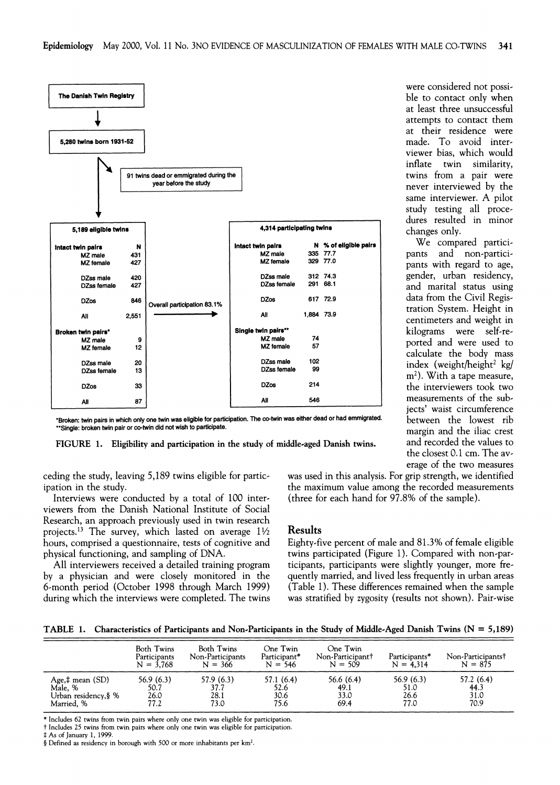

**\*Broken: twin pairs in which only one twin was eligible for participation. The co-twin \*\*Single: broken twin pair or co-twin did not wish to participate.** 

FIGURE 1. Eligibility and participation in the study of middle-aged Danish twins.

**were considered not possible to contact only when at least three unsuccessful attempts to contact them at their residence were made. To avoid interviewer bias, which would**  twin similarity, **twins from a pair were never interviewed by the same interviewer. A pilot study testing all procedures resulted in minor**  changes only.

**N** % of eligible pairs **a We** compared partici-<br> **N** % of eligible pairs **and** non-partici-**335 77.7 pants and non-particile 329 77.0 pants with regard to age, ile 312 74.3 gender, urban residency, nale 291 68.1 and marital status using 617 72.9 data from the Civil Regis-<sup>188</sup>73.9 tration System. Height in 1,884 73.9 centimeters and weight in kilograms were self-re-14**<br>**57 ported and were used to calculate the body mass**  102<br>**algorith a index** (weight/height<sup>2</sup> kg/ **m2). With a tape measure, <sup>214</sup>the interviewers took two 546 measurements of the subjects' waist circumference**  between the lowest rib **margin and the iliac crest**  and recorded the values to **the closest 0.1 cm. The average of the two measures** 

**ceding the study, leaving 5,189 twins eligible for participation in the study.** 

**Interviews were conducted by a total of 100 interviewers from the Danish National Institute of Social Research, an approach previously used in twin research projects.13 The survey, which lasted on average 11/2 hours, comprised a questionnaire, tests of cognitive and physical functioning, and sampling of DNA.** 

**All interviewers received a detailed training program by a physician and were closely monitored in the 6-month period (October 1998 through March 1999) during which the interviews were completed. The twins**  **was used in this analysis. For grip strength, we identified the maximum value among the recorded measurements (three for each hand for 97.8% of the sample).** 

## **Results**

**Eighty-five percent of male and 81.3% of female eligible twins participated (Figure 1). Compared with non-participants, participants were slightly younger, more frequently married, and lived less frequently in urban areas (Table 1). These differences remained when the sample was stratified by zygosity (results not shown). Pair-wise** 

**TABLE 1. Characteristics of Participants and Non-Participants in the Study of Middle-Aged Danish Twins (N = 5,189)** 

|                           | Both Twins<br>Participants<br>$N = 3.768$ | Both Twins<br>Non-Participants<br>$N = 366$ | One Twin<br>Participant*<br>$N = 546$ | One Twin<br>Non-Participant <sup>†</sup><br>$N = 509$ | Participants*<br>$N = 4.314$ | Non-Participants†<br>$N = 875$ |
|---------------------------|-------------------------------------------|---------------------------------------------|---------------------------------------|-------------------------------------------------------|------------------------------|--------------------------------|
| Age, $\ddagger$ mean (SD) | 56.9(6.3)                                 | 57.9 (6.3)                                  | 57.1 (6.4)                            | 56.6(6.4)                                             | 56.9 (6.3)                   | 57.2 (6.4)                     |
| Male, %                   | 50.7                                      | 37.7                                        | 52.6                                  | 49.1                                                  | 51.0                         | 44.3                           |
| Urban residency,§ %       | 26.0                                      | 28.1                                        | 30.6                                  | 33.0                                                  | 26.6                         | 31.0                           |
| Married. %                | 77.2                                      | 73.0                                        | 75.6                                  | 69.4                                                  | 77.0                         | 70.9                           |

**\* Includes 62 twins from twin pairs where only one twin was eligible for participation.** 

**t Includes 25 twins from twin pairs where only one twin was eligible for participation.** 

**t As of January 1, 1999.** 

**? Defined as residency in borough with 500 or more inhabitants per km2.**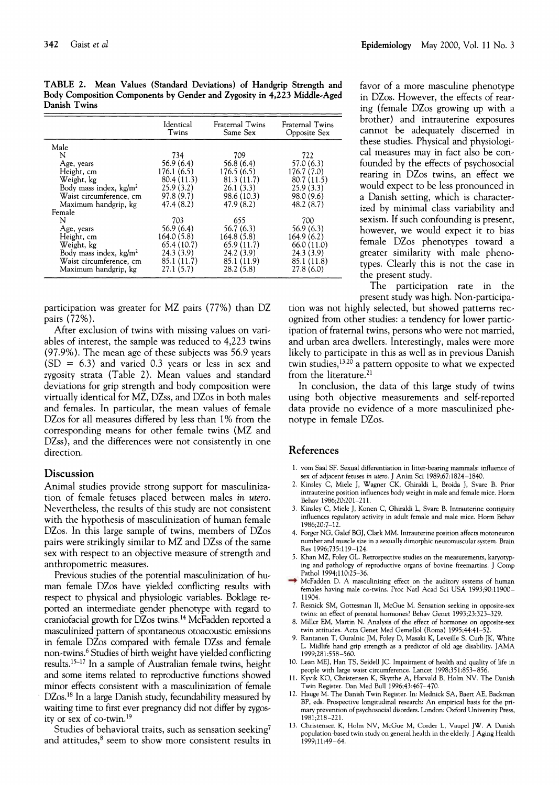**TABLE 2. Mean Values (Standard Deviations) of Handgrip**  Body Composition Components by Gender and Zygosity in 4,223 Middle-Aged **Danish Twins** 

|                                  | Identical<br>Twins | Fraternal Twins<br>Same Sex | Fraternal Twins<br>Opposite Sex |
|----------------------------------|--------------------|-----------------------------|---------------------------------|
| Male                             |                    |                             |                                 |
| N                                | 734                | 709                         | 722                             |
| Age, years                       | 56.9 (6.4)         | 56.8(6.4)                   | 57.0 (6.3)                      |
| Height, cm                       | 176.1 (6.5)        | 176.5(6.5)                  | 176.7 (7.0)                     |
| Weight, kg                       | 80.4 (11.3)        | 81.3 (11.7)                 | 80.7 (11.5)                     |
| Body mass index, $\text{kg/m}^2$ | 25.9(3.2)          | 26.1(3.3)                   | 25.9(3.3)                       |
| Waist circumference, cm          | 97.8 (9.7)         | 98.6 (10.3)                 | 98.0 (9.6)                      |
| Maximum handgrip, kg             | 47.4(8.2)          | 47.9 (8.2)                  | 48.2(8.7)                       |
| Female                           |                    |                             |                                 |
| N                                | 703                | 655                         | 700                             |
| Age, years                       | 56.9(6.4)          | 56.7 (6.3)                  | 56.9 (6.3)                      |
| Height, cm                       | 164.0 (5.8)        | 164.8 (5.8)                 | 164.9 (6.2)                     |
| Weight, kg                       | 65.4 (10.7)        | 65.9 (11.7)                 | 66.0(11.0)                      |
| Body mass index, $kg/m2$         | 24.3(3.9)          | 24.2(3.9)                   | 24.3 (3.9)                      |
| Waist circumference, cm          | 85.1 (11.7)        | 85.1 (11.9)                 | 85.1 (11.8)                     |
| Maximum handgrip, kg             | 27.1(5.7)          | 28.2(5.8)                   | 27.8(6.0)                       |

**participation was greater for MZ pairs (77%) than DZ pairs (72%).** 

**After exclusion of twins with missing values on variables of interest, the sample was reduced to 4,223 twins (97.9%). The mean age of these subjects was 56.9 years (SD = 6.3) and varied 0.3 years or less in sex and zygosity strata (Table 2). Mean values and standard deviations for grip strength and body composition were virtually identical for MZ, DZss, and DZos in both males and females. In particular, the mean values of female DZos for all measures differed by less than 1% from the corresponding means for other female twins (MZ and DZss), and the differences were not consistently in one direction.** 

#### **Discussion**

**Animal studies provide strong support for masculinization of female fetuses placed between males in utero. Nevertheless, the results of this study are not consistent with the hypothesis of masculinization of human female DZos. In this large sample of twins, members of DZos pairs were strikingly similar to MZ and DZss of the same sex with respect to an objective measure of strength and anthropometric measures.** 

**Previous studies of the potential masculinization of human female DZos have yielded conflicting results with respect to physical and physiologic variables. Boklage reported an intermediate gender phenotype with regard to craniofacial growth for DZos twins.14 McFadden reported a**  masculinized pattern of spontaneous otoacoustic emissions **in female DZos compared with female DZss and female non-twins.6 Studies of birth weight have yielded conflicting**  results.<sup>15-17</sup> In a sample of Australian female twins, height **and some items related to reproductive functions showed minor effects consistent with a masculinization of female DZos.18 In a large Danish study, fecundability measured by waiting time to first ever pregnancy did not differ by zygosity or sex of co-twin.19** 

**Studies of behavioral traits, such as sensation seeking7**  and attitudes,<sup>8</sup> seem to show more consistent results in favor of a more masculine phenotype<br>in DZos. However, the effects of rear**ing (female DZos growing up with a brother)** and intrauterine exposures **Opposite Sex cannot be adequately discerned in these studies. Physical and physiologi-722 cal measures may in fact also be con-57.0 (6.3) founded by the effects of psychosocial**  rearing in DZos twins, an effect we **25.9 (3.3) would expect to be less pronounced in**  a Danish setting, which is characterized by minimal class variability and **700 sexism. If such confounding is present, 56.9 (6.3) however, we would expect it to bias 164. 164. 164. 16. 16. 16. 16. 16. 16. 16. 16. 16. 16. 16. 16. 16. 16. 16. 16. 16. 16. 16. 16. 16. 16. 16. 16. 16. 16. 16. 16. 16. 16. 16. 16. 16. 16 24.3 (3.9) greater similarity with male pheno-85.1 (11.8) types. Clearly this is not the case in the present study.** 

**The participation rate in the present study was high. Non-participa-**

**tion was not highly selected, but showed patterns recognized from other studies: a tendency for lower participation of fraternal twins, persons who were not married, and urban area dwellers. Interestingly, males were more likely to participate in this as well as in previous Danish twin studies,13'20 a pattern opposite to what we expected from the literature.21** 

**In conclusion, the data of this large study of twins using both objective measurements and self-reported data provide no evidence of a more masculinized phenotype in female DZos.** 

## **References**

- **1. vom Saal SF. Sexual differentiation in litter-bearing mammals: influence of sex of adjacent fetuses in utero. J Anim Sci 1989;67:1824-1840.**
- **2. Kinsley C, Miele J, Wagner CK, Ghiraldi L, Broida J, Svare B. Prior intrauterine position influences body weight in male and female mice. Horm Behav 1986;20:201-211.**
- **3. Kinsley C, Miele J, Konen C, Ghiraldi L, Svare B. Intrauterine contiguity influences regulatory activity in adult female and male mice. Horm Behav 1986;20:7-12.**
- **4. Forger NG, Galef BGJ, Clark MM. Intrauterine position affects motoneuron number and muscle size in a sexually dimorphic neuromuscular system. Brain Res 1996;735:119-124.**
- **5. Khan MZ, Foley GL. Retrospective studies on the measurements, karyotyping and pathology of reproductive organs of bovine freemartins. J Comp Pathol 1994;110:25-36.**
- **6. McFadden D. A masculinizing effect on the auditory systems of human females having male co-twins. Proc Natl Acad Sci USA 1993;90:11900- 11904.**
- **7. Resnick SM, Gottesman II, McGue M. Sensation seeking in opposite-sex twins: an effect of prenatal hormones? Behav Genet 1993;23:323-329.**
- **8. Miller EM, Martin N. Analysis of the effect of hormones on opposite-sex twin attitudes. Acta Genet Med Gemellol (Roma) 1995;44:41-52.**
- **9. Rantanen T, Guralnic JM, Foley D, Masaki K, Leveille S, Curb JK, White L. Midlife hand grip strength as a predictor of old age disability. JAMA 1999;281:558-560.**
- **10. Lean MEJ, Han TS, Seidell JC. Impairment of health and quality of life in people with large waist circumference. Lancet 1998;351:853-856.**
- **11. Kyvik KO, Christensen K, Skytthe A, Harvald B, Holm NV. The Danish Twin Register. Dan Med Bull 1996;43:467-470.**
- **12. Hauge M. The Danish Twin Register. In: Mednick SA, Baert AE, Backman BP, eds. Prospective longitudinal research: An empirical basis for the primary prevention of psychosocial disorders. London: Oxford University Press, 1981;218-221.**
- **13. Christensen K, Holm NV, McGue M, Corder L, Vaupel JW. A Danish population-based twin study on general health in the elderly. J Aging Health 1999;11:49-64.**